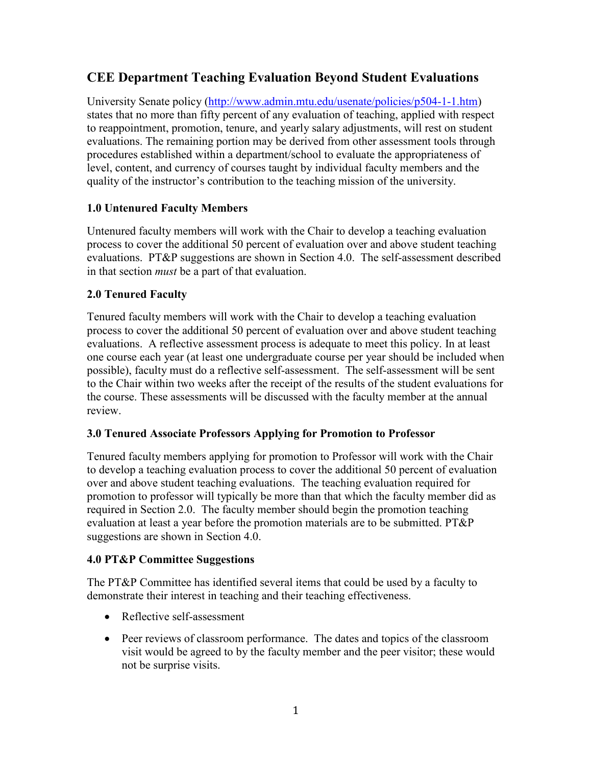# **CEE Department Teaching Evaluation Beyond Student Evaluations**

University Senate policy [\(http://www.admin.mtu.edu/usenate/policies/p504-1-1.htm\)](http://www.admin.mtu.edu/usenate/policies/p504-1-1.htm) states that no more than fifty percent of any evaluation of teaching, applied with respect to reappointment, promotion, tenure, and yearly salary adjustments, will rest on student evaluations. The remaining portion may be derived from other assessment tools through procedures established within a department/school to evaluate the appropriateness of level, content, and currency of courses taught by individual faculty members and the quality of the instructor's contribution to the teaching mission of the university.

## **1.0 Untenured Faculty Members**

Untenured faculty members will work with the Chair to develop a teaching evaluation process to cover the additional 50 percent of evaluation over and above student teaching evaluations. PT&P suggestions are shown in Section 4.0. The self-assessment described in that section *must* be a part of that evaluation.

## **2.0 Tenured Faculty**

Tenured faculty members will work with the Chair to develop a teaching evaluation process to cover the additional 50 percent of evaluation over and above student teaching evaluations. A reflective assessment process is adequate to meet this policy. In at least one course each year (at least one undergraduate course per year should be included when possible), faculty must do a reflective self-assessment. The self-assessment will be sent to the Chair within two weeks after the receipt of the results of the student evaluations for the course. These assessments will be discussed with the faculty member at the annual review.

## **3.0 Tenured Associate Professors Applying for Promotion to Professor**

Tenured faculty members applying for promotion to Professor will work with the Chair to develop a teaching evaluation process to cover the additional 50 percent of evaluation over and above student teaching evaluations. The teaching evaluation required for promotion to professor will typically be more than that which the faculty member did as required in Section 2.0. The faculty member should begin the promotion teaching evaluation at least a year before the promotion materials are to be submitted. PT&P suggestions are shown in Section 4.0.

## **4.0 PT&P Committee Suggestions**

The PT&P Committee has identified several items that could be used by a faculty to demonstrate their interest in teaching and their teaching effectiveness.

- Reflective self-assessment
- Peer reviews of classroom performance. The dates and topics of the classroom visit would be agreed to by the faculty member and the peer visitor; these would not be surprise visits.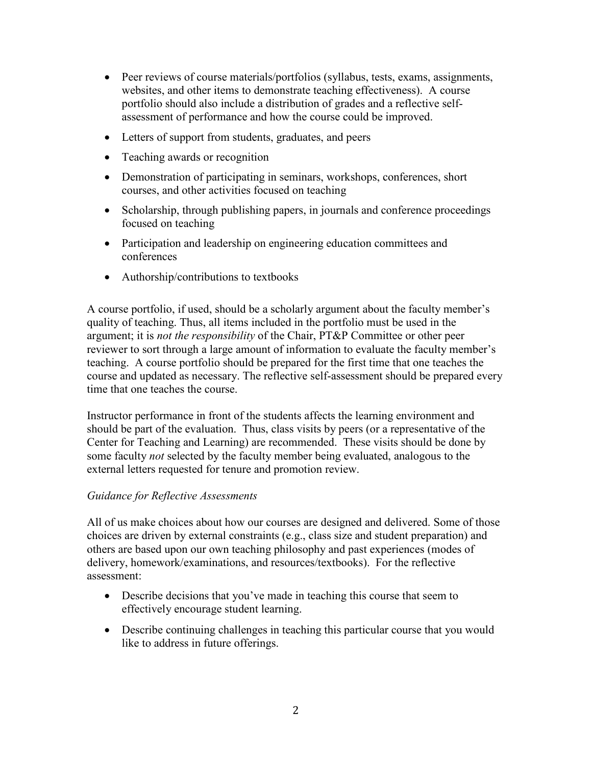- Peer reviews of course materials/portfolios (syllabus, tests, exams, assignments, websites, and other items to demonstrate teaching effectiveness). A course portfolio should also include a distribution of grades and a reflective selfassessment of performance and how the course could be improved.
- Letters of support from students, graduates, and peers
- Teaching awards or recognition
- Demonstration of participating in seminars, workshops, conferences, short courses, and other activities focused on teaching
- Scholarship, through publishing papers, in journals and conference proceedings focused on teaching
- Participation and leadership on engineering education committees and conferences
- Authorship/contributions to textbooks

A course portfolio, if used, should be a scholarly argument about the faculty member's quality of teaching. Thus, all items included in the portfolio must be used in the argument; it is *not the responsibility* of the Chair, PT&P Committee or other peer reviewer to sort through a large amount of information to evaluate the faculty member's teaching. A course portfolio should be prepared for the first time that one teaches the course and updated as necessary. The reflective self-assessment should be prepared every time that one teaches the course.

Instructor performance in front of the students affects the learning environment and should be part of the evaluation. Thus, class visits by peers (or a representative of the Center for Teaching and Learning) are recommended. These visits should be done by some faculty *not* selected by the faculty member being evaluated, analogous to the external letters requested for tenure and promotion review.

#### *Guidance for Reflective Assessments*

All of us make choices about how our courses are designed and delivered. Some of those choices are driven by external constraints (e.g., class size and student preparation) and others are based upon our own teaching philosophy and past experiences (modes of delivery, homework/examinations, and resources/textbooks). For the reflective assessment:

- Describe decisions that you've made in teaching this course that seem to effectively encourage student learning.
- Describe continuing challenges in teaching this particular course that you would like to address in future offerings.